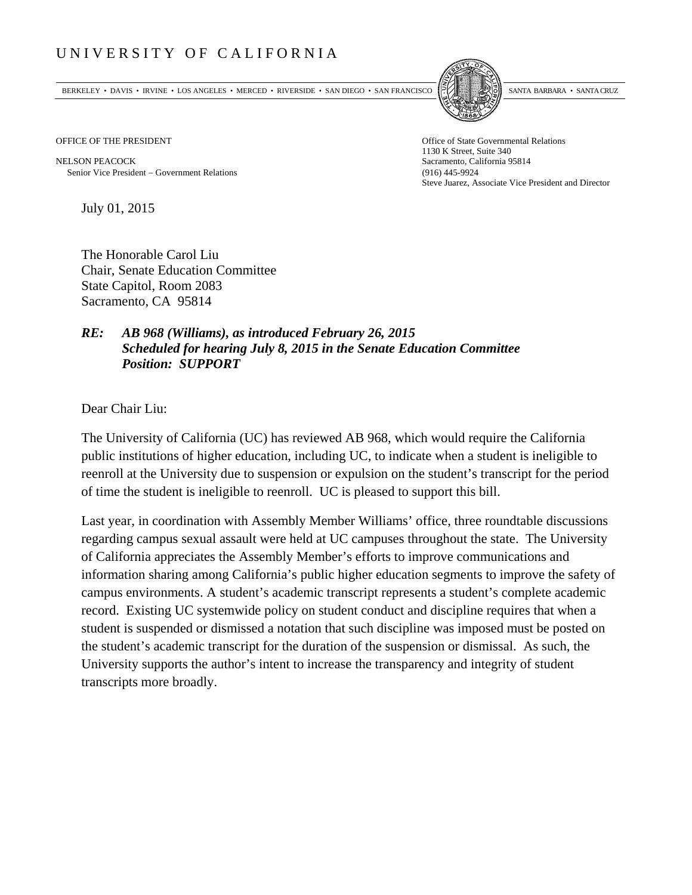## UNIVERSITY OF CALIFORNIA

BERKELEY • DAVIS • IRVINE • LOS ANGELES • MERCED • RIVERSIDE • SAN DIEGO • SAN FRANCISCO SANTA BARBARA • SANTA CRUZ



OFFICE OF THE PRESIDENT STATES OF THE PRESIDENT

NELSON PEACOCK Sacramento, California 95814 Senior Vice President Government Relations (916) 445-9924

1130 K Street, Suite 340 Steve Juarez, Associate Vice President and Director

July 01, 2015

The Honorable Carol Liu Chair, Senate Education Committee State Capitol, Room 2083 Sacramento, CA 95814

## *RE: AB 968 (Williams), as introduced February 26, 2015 Scheduled for hearing July 8, 2015 in the Senate Education Committee Position: SUPPORT*

Dear Chair Liu:

The University of California (UC) has reviewed AB 968, which would require the California public institutions of higher education, including UC, to indicate when a student is ineligible to reenroll at the University due to suspension or expulsion on the student's transcript for the period of time the student is ineligible to reenroll. UC is pleased to support this bill.

Last year, in coordination with Assembly Member Williams' office, three roundtable discussions regarding campus sexual assault were held at UC campuses throughout the state. The University of California appreciates the Assembly Member's efforts to improve communications and information sharing among California's public higher education segments to improve the safety of campus environments. A student's academic transcript represents a student's complete academic record. Existing UC systemwide policy on student conduct and discipline requires that when a student is suspended or dismissed a notation that such discipline was imposed must be posted on the student's academic transcript for the duration of the suspension or dismissal. As such, the University supports the author's intent to increase the transparency and integrity of student transcripts more broadly.